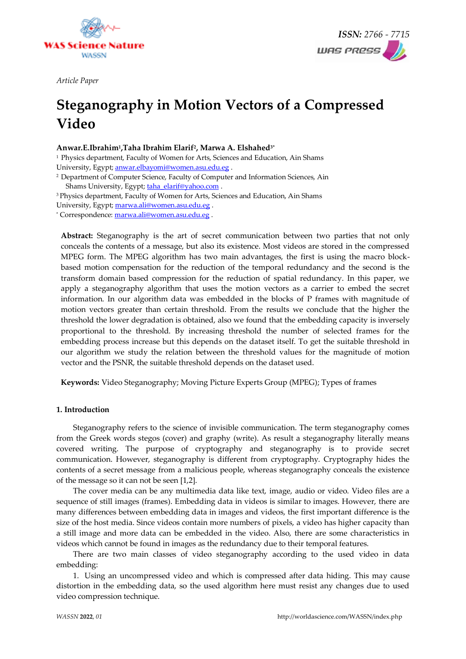

*Article Paper* 



# **Steganography in Motion Vectors of a Compressed Video**

### **Anwar.E.Ibrahim<sup>1</sup> ,Taha Ibrahim Elarif<sup>2</sup> , Marwa A. Elshahed3\***

<sup>1</sup> Physics department, Faculty of Women for Arts, Sciences and Education, Ain Shams University, Egypt; [anwar.elbayomi@women.asu.edu.eg](mailto:anwar.elbayomi@women.asu.edu.eg) .

<sup>2</sup> Department of Computer Science, Faculty of Computer and Information Sciences, Ain Shams University, Egypt; [taha\\_elarif@yahoo.com](mailto:taha_elarif@yahoo.com) .

<sup>3</sup> Physics department, Faculty of Women for Arts, Sciences and Education, Ain Shams University, Egypt; [marwa.ali@women.asu.edu.eg](mailto:marwa.ali@women.asu.edu.eg) .

\* Correspondence[: marwa.ali@women.asu.edu.eg](mailto:marwa.ali@women.asu.edu.eg) .

**Abstract:** Steganography is the art of secret communication between two parties that not only conceals the contents of a message, but also its existence. Most videos are stored in the compressed MPEG form. The MPEG algorithm has two main advantages, the first is using the macro blockbased motion compensation for the reduction of the temporal redundancy and the second is the transform domain based compression for the reduction of spatial redundancy. In this paper, we apply a steganography algorithm that uses the motion vectors as a carrier to embed the secret information. In our algorithm data was embedded in the blocks of P frames with magnitude of motion vectors greater than certain threshold. From the results we conclude that the higher the threshold the lower degradation is obtained, also we found that the embedding capacity is inversely proportional to the threshold. By increasing threshold the number of selected frames for the embedding process increase but this depends on the dataset itself. To get the suitable threshold in our algorithm we study the relation between the threshold values for the magnitude of motion vector and the PSNR, the suitable threshold depends on the dataset used.

**Keywords:** Video Steganography; Moving Picture Experts Group (MPEG); Types of frames

#### **1. Introduction**

Steganography refers to the science of invisible communication. The term steganography comes from the Greek words stegos (cover) and graphy (write). As result a steganography literally means covered writing. The purpose of cryptography and steganography is to provide secret communication. However, steganography is different from cryptography. Cryptography hides the contents of a secret message from a malicious people, whereas steganography conceals the existence of the message so it can not be seen [1,2].

The cover media can be any multimedia data like text, image, audio or video. Video files are a sequence of still images (frames). Embedding data in videos is similar to images. However, there are many differences between embedding data in images and videos, the first important difference is the size of the host media. Since videos contain more numbers of pixels, a video has higher capacity than a still image and more data can be embedded in the video. Also, there are some characteristics in videos which cannot be found in images as the redundancy due to their temporal features.

There are two main classes of video steganography according to the used video in data embedding:

1. Using an uncompressed video and which is compressed after data hiding. This may cause distortion in the embedding data, so the used algorithm here must resist any changes due to used video compression technique.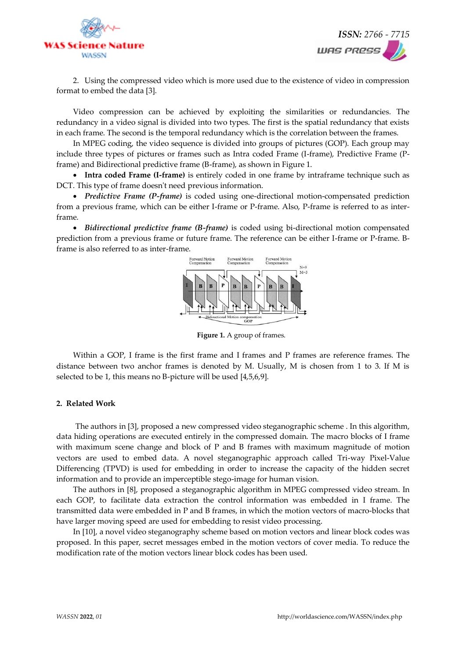



2. Using the compressed video which is more used due to the existence of video in compression format to embed the data [3].

Video compression can be achieved by exploiting the similarities or redundancies. The redundancy in a video signal is divided into two types. The first is the spatial redundancy that exists in each frame. The second is the temporal redundancy which is the correlation between the frames.

In MPEG coding, the video sequence is divided into groups of pictures (GOP). Each group may include three types of pictures or frames such as Intra coded Frame (I-frame), Predictive Frame (Pframe) and Bidirectional predictive frame (B-frame), as shown in Figure 1.

• **Intra coded Frame (I-frame)** is entirely coded in one frame by intraframe technique such as DCT. This type of frame doesn't need previous information.

• *Predictive Frame (P-frame)* is coded using one-directional motion-compensated prediction from a previous frame, which can be either I-frame or P-frame. Also, P-frame is referred to as interframe.

• *Bidirectional predictive frame (B-frame)* is coded using bi-directional motion compensated prediction from a previous frame or future frame. The reference can be either I-frame or P-frame. Bframe is also referred to as inter-frame.



**Figure 1.** A group of frames.

Within a GOP, I frame is the first frame and I frames and P frames are reference frames. The distance between two anchor frames is denoted by M. Usually, M is chosen from 1 to 3. If M is selected to be 1, this means no B-picture will be used [4,5,6,9].

#### **2. Related Work**

The authors in [3], proposed a new compressed video steganographic scheme . In this algorithm, data hiding operations are executed entirely in the compressed domain. The macro blocks of I frame with maximum scene change and block of P and B frames with maximum magnitude of motion vectors are used to embed data. A novel steganographic approach called Tri-way Pixel-Value Differencing (TPVD) is used for embedding in order to increase the capacity of the hidden secret information and to provide an imperceptible stego-image for human vision.

The authors in [8], proposed a steganographic algorithm in MPEG compressed video stream. In each GOP, to facilitate data extraction the control information was embedded in I frame. The transmitted data were embedded in P and B frames, in which the motion vectors of macro-blocks that have larger moving speed are used for embedding to resist video processing.

In [10], a novel video steganography scheme based on motion vectors and linear block codes was proposed. In this paper, secret messages embed in the motion vectors of cover media. To reduce the modification rate of the motion vectors linear block codes has been used.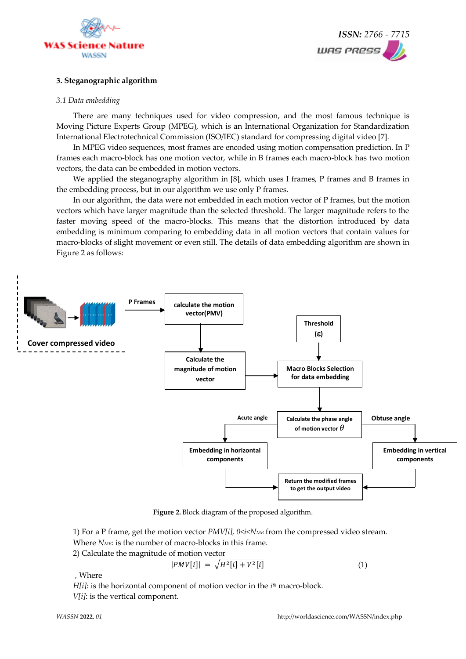



#### **3. Steganographic algorithm**

#### *3.1 Data embedding*

There are many techniques used for video compression, and the most famous technique is Moving Picture Experts Group (MPEG), which is an International Organization for Standardization International Electrotechnical Commission (ISO/IEC) standard for compressing digital video [7].

In MPEG video sequences, most frames are encoded using motion compensation prediction. In P frames each macro-block has one motion vector, while in B frames each macro-block has two motion vectors, the data can be embedded in motion vectors.

We applied the steganography algorithm in [8], which uses I frames, P frames and B frames in the embedding process, but in our algorithm we use only P frames.

In our algorithm, the data were not embedded in each motion vector of P frames, but the motion vectors which have larger magnitude than the selected threshold. The larger magnitude refers to the faster moving speed of the macro-blocks. This means that the distortion introduced by data embedding is minimum comparing to embedding data in all motion vectors that contain values for macro-blocks of slight movement or even still. The details of data embedding algorithm are shown in Figure 2 as follows:



**Figure 2.** Block diagram of the proposed algorithm.

1) For a P frame, get the motion vector *PMV[i], 0<i<NMB* from the compressed video stream.

Where *NMB*: is the number of macro-blocks in this frame.

2) Calculate the magnitude of motion vector

$$
|PMV[i]| = \sqrt{H^2[i] + V^2[i]}
$$
 (1)

*,* Where

*H[i]*: is the horizontal component of motion vector in the *i th* macro-block.

*V[i]*: is the vertical component.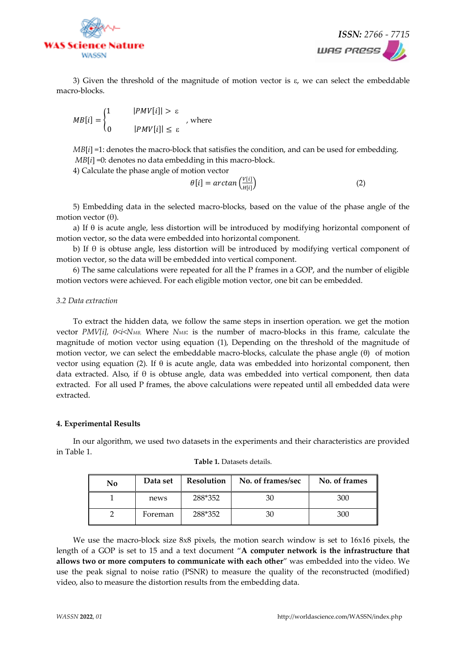



3) Given the threshold of the magnitude of motion vector is  $\varepsilon$ , we can select the embeddable macro-blocks.

$$
MB[i] = \begin{cases} 1 & |PMV[i]| > \varepsilon \\ 0 & |PMV[i]| \le \varepsilon \end{cases}
$$
, where

*MB*[ $i$ ] =1: denotes the macro-block that satisfies the condition, and can be used for embedding. *MB*[ $i$ ] =0: denotes no data embedding in this macro-block.

4) Calculate the phase angle of motion vector

$$
\theta[i] = \arctan\left(\frac{V[i]}{H[i]}\right) \tag{2}
$$

5) Embedding data in the selected macro-blocks, based on the value of the phase angle of the motion vector (θ).

a) If  $\theta$  is acute angle, less distortion will be introduced by modifying horizontal component of motion vector, so the data were embedded into horizontal component.

b) If θ is obtuse angle, less distortion will be introduced by modifying vertical component of motion vector, so the data will be embedded into vertical component.

6) The same calculations were repeated for all the P frames in a GOP, and the number of eligible motion vectors were achieved. For each eligible motion vector, one bit can be embedded.

#### *3.2 Data extraction*

To extract the hidden data, we follow the same steps in insertion operation. we get the motion vector *PMV[i], 0<i<NMB,* Where *NMB*: is the number of macro-blocks in this frame, calculate the magnitude of motion vector using equation (1), Depending on the threshold of the magnitude of motion vector, we can select the embeddable macro-blocks, calculate the phase angle  $(\theta)$  of motion vector using equation (2). If  $\theta$  is acute angle, data was embedded into horizontal component, then data extracted. Also, if  $\theta$  is obtuse angle, data was embedded into vertical component, then data extracted. For all used P frames, the above calculations were repeated until all embedded data were extracted.

#### **4. Experimental Results**

In our algorithm, we used two datasets in the experiments and their characteristics are provided in Table 1.

| $\bf No$ | Data set | <b>Resolution</b> | No. of frames/sec | No. of frames |
|----------|----------|-------------------|-------------------|---------------|
|          | news     | 288*352           | 30                | 300           |
|          | Foreman  | 288*352           | 30                | 300           |

**Table 1.** Datasets details.

We use the macro-block size 8x8 pixels, the motion search window is set to 16x16 pixels, the length of a GOP is set to 15 and a text document "**A computer network is the infrastructure that allows two or more computers to communicate with each other**" was embedded into the video. We use the peak signal to noise ratio (PSNR) to measure the quality of the reconstructed (modified) video, also to measure the distortion results from the embedding data.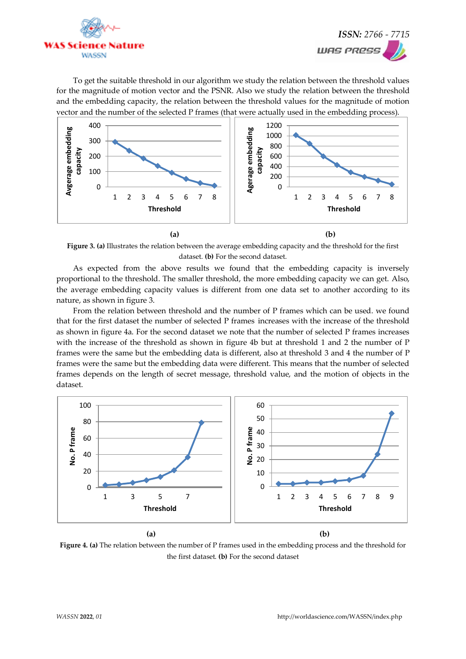



To get the suitable threshold in our algorithm we study the relation between the threshold values for the magnitude of motion vector and the PSNR. Also we study the relation between the threshold and the embedding capacity, the relation between the threshold values for the magnitude of motion vector and the number of the selected P frames (that were actually used in the embedding process).



**Figure 3. (a)** Illustrates the relation between the average embedding capacity and the threshold for the first dataset. **(b)** For the second dataset.

As expected from the above results we found that the embedding capacity is inversely proportional to the threshold. The smaller threshold, the more embedding capacity we can get. Also, the average embedding capacity values is different from one data set to another according to its nature, as shown in figure 3.

From the relation between threshold and the number of P frames which can be used. we found that for the first dataset the number of selected P frames increases with the increase of the threshold as shown in figure 4a. For the second dataset we note that the number of selected P frames increases with the increase of the threshold as shown in figure 4b but at threshold 1 and 2 the number of P frames were the same but the embedding data is different, also at threshold 3 and 4 the number of P frames were the same but the embedding data were different. This means that the number of selected frames depends on the length of secret message, threshold value, and the motion of objects in the dataset.



**Figure 4. (a)** The relation between the number of P frames used in the embedding process and the threshold for the first dataset. **(b)** For the second dataset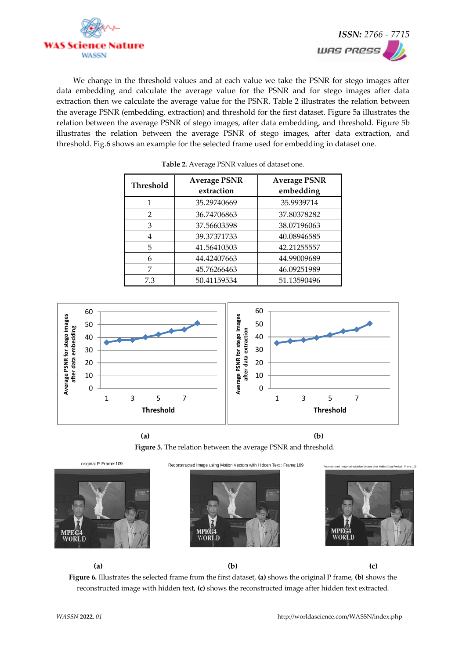



We change in the threshold values and at each value we take the PSNR for stego images after data embedding and calculate the average value for the PSNR and for stego images after data extraction then we calculate the average value for the PSNR. Table 2 illustrates the relation between the average PSNR (embedding, extraction) and threshold for the first dataset. Figure 5a illustrates the relation between the average PSNR of stego images, after data embedding, and threshold. Figure 5b illustrates the relation between the average PSNR of stego images, after data extraction, and threshold. Fig.6 shows an example for the selected frame used for embedding in dataset one.

| <b>Threshold</b> | <b>Average PSNR</b><br>extraction | <b>Average PSNR</b><br>embedding |
|------------------|-----------------------------------|----------------------------------|
|                  | 35.29740669                       | 35.9939714                       |
| 2                | 36.74706863                       | 37.80378282                      |
| 3                | 37.56603598                       | 38.07196063                      |
| 4                | 39.37371733                       | 40.08946585                      |
| 5                | 41.56410503                       | 42.21255557                      |
| 6                | 44.42407663                       | 44.99009689                      |
| 7                | 45.76266463                       | 46.09251989                      |
| 7.3              | 50.41159534                       | 51.13590496                      |

**Table 2.** Average PSNR values of dataset one.







original P Frame:109 Reconstructed Image using Motion Vectors with Hidden Text: Frame:109





**Figure 6.** Illustrates the selected frame from the first dataset, **(a)** shows the original P frame, **(b)** shows the reconstructed image with hidden text, **(c)** shows the reconstructed image after hidden text extracted.

**(a) (b) (c)**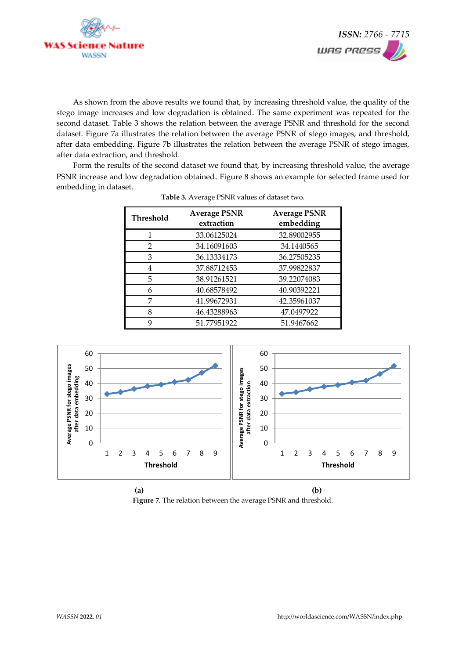



As shown from the above results we found that, by increasing threshold value, the quality of the stego image increases and low degradation is obtained. The same experiment was repeated for the second dataset. Table 3 shows the relation between the average PSNR and threshold for the second dataset. Figure 7a illustrates the relation between the average PSNR of stego images, and threshold, after data embedding. Figure 7b illustrates the relation between the average PSNR of stego images, after data extraction, and threshold.

Form the results of the second dataset we found that, by increasing threshold value, the average PSNR increase and low degradation obtained. Figure 8 shows an example for selected frame used for embedding in dataset.

| Threshold      | <b>Average PSNR</b><br>extraction | <b>Average PSNR</b><br>embedding |
|----------------|-----------------------------------|----------------------------------|
|                | 33.06125024                       | 32.89002955                      |
| $\mathfrak{D}$ | 34.16091603                       | 34.1440565                       |
| 3              | 36.13334173                       | 36.27505235                      |
| 4              | 37.88712453                       | 37.99822837                      |
| 5              | 38.91261521                       | 39.22074083                      |
| 6              | 40.68578492                       | 40.90392221                      |
| 7              | 41.99672931                       | 42.35961037                      |
| 8              | 46.43288963                       | 47.0497922                       |
| 9              | 51.77951922                       | 51.9467662                       |



**Figure 7.** The relation between the average PSNR and threshold.